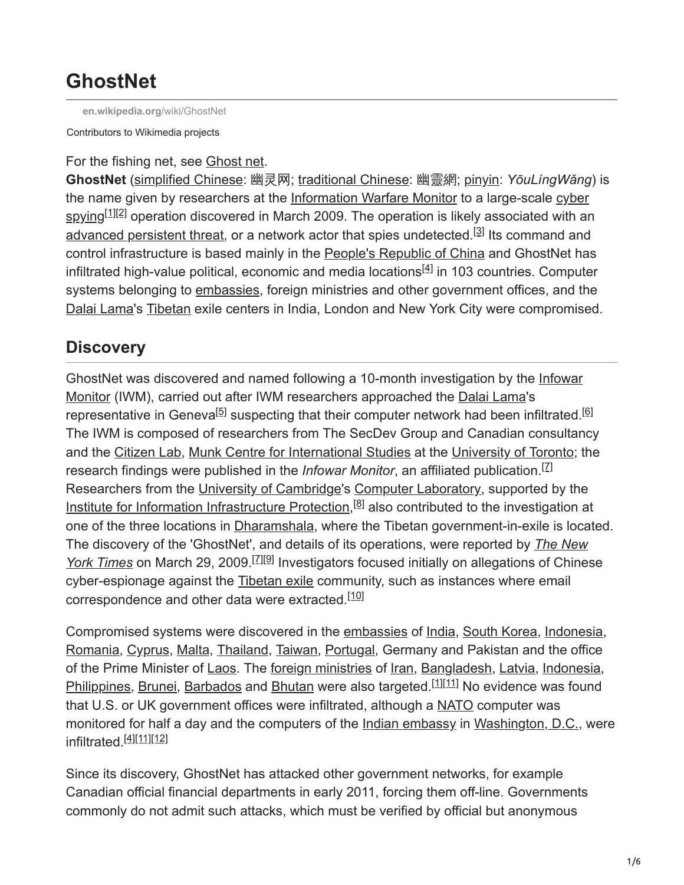# **GhostNet**

**[en.wikipedia.org](https://en.wikipedia.org/wiki/GhostNet)**/wiki/GhostNet

Contributors to Wikimedia projects

#### For the fishing net, see [Ghost net](https://en.wikipedia.org/wiki/Ghost_net).

**GhostNet** [\(simplified Chinese:](https://en.wikipedia.org/wiki/Simplified_Chinese_characters) 幽灵网; [traditional Chinese:](https://en.wikipedia.org/wiki/Traditional_Chinese_characters) 幽靈網; [pinyin](https://en.wikipedia.org/wiki/Pinyin): *YōuLíngWǎng*) is [the name given by researchers at the](https://en.wikipedia.org/wiki/Cyber_spying) [Information Warfare Monitor](https://en.wikipedia.org/wiki/Information_Warfare_Monitor) [to a large-scale cyber](https://en.wikipedia.org/wiki/Cyber_spying) spying<sup>[1][2]</sup> operation discovered in March 2009. The operation is likely associated with an [advanced persistent threat](https://en.wikipedia.org/wiki/Advanced_persistent_threat), or a network actor that spies undetected.<sup>[3]</sup> Its command and control infrastructure is based mainly in the [People's Republic of China](https://en.wikipedia.org/wiki/China) and GhostNet has infiltrated high-value political, economic and media locations $^{[4]}$  in 103 countries. Computer systems belonging to [embassies](https://en.wikipedia.org/wiki/Embassy), foreign ministries and other government offices, and the [Dalai Lama](https://en.wikipedia.org/wiki/14th_Dalai_Lama)'s [Tibetan](https://en.wikipedia.org/wiki/Tibet) exile centers in India, London and New York City were compromised.

## **Discovery**

[GhostNet was discovered and named following a 10-month investigation by the Infowar](https://en.wikipedia.org/wiki/Infowar_Monitor) Monitor (IWM), carried out after IWM researchers approached the [Dalai Lama](https://en.wikipedia.org/wiki/14th_Dalai_Lama)'s representative in Geneva<sup>[5]</sup> suspecting that their computer network had been infiltrated.<sup>[6]</sup> The IWM is composed of researchers from The SecDev Group and Canadian consultancy and the [Citizen Lab,](https://en.wikipedia.org/wiki/Citizen_Lab) [Munk Centre for International Studies](https://en.wikipedia.org/wiki/Munk_Centre_for_International_Studies) at the [University of Toronto;](https://en.wikipedia.org/wiki/University_of_Toronto) the research findings were published in the *Infowar Monitor*, an affiliated publication.<sup>[7]</sup> Researchers from the [University of Cambridge](https://en.wikipedia.org/wiki/University_of_Cambridge)'s [Computer Laboratory](https://en.wikipedia.org/wiki/University_of_Cambridge_Computer_Laboratory), supported by the [Institute for Information Infrastructure Protection](https://en.wikipedia.org/wiki/Institute_for_Information_Infrastructure_Protection),<sup>[8]</sup> also contributed to the investigation at one of the three locations in [Dharamshala](https://en.wikipedia.org/wiki/Dharamshala), where the Tibetan government-in-exile is located. [The discovery of the 'GhostNet', and details of its operations, were reported by](https://en.wikipedia.org/wiki/The_New_York_Times) *The New* York Times on March 29, 2009.<sup>[Z][9]</sup> Investigators focused initially on allegations of Chinese cyber-espionage against the [Tibetan exile](https://en.wikipedia.org/wiki/Tibetan_exile) community, such as instances where email correspondence and other data were extracted.<sup>[10]</sup>

Compromised systems were discovered in the [embassies](https://en.wikipedia.org/wiki/Embassy) of [India,](https://en.wikipedia.org/wiki/India) [South Korea,](https://en.wikipedia.org/wiki/South_Korea) [Indonesia,](https://en.wikipedia.org/wiki/Indonesia) [Romania](https://en.wikipedia.org/wiki/Romania), [Cyprus,](https://en.wikipedia.org/wiki/Cyprus) [Malta,](https://en.wikipedia.org/wiki/Malta) [Thailand,](https://en.wikipedia.org/wiki/Thailand) [Taiwan](https://en.wikipedia.org/wiki/Taiwan), [Portugal,](https://en.wikipedia.org/wiki/Portugal) Germany and Pakistan and the office of the Prime Minister of [Laos.](https://en.wikipedia.org/wiki/Laos) The [foreign ministries](https://en.wikipedia.org/wiki/Ministry_of_Foreign_Affairs) of [Iran](https://en.wikipedia.org/wiki/Iran), [Bangladesh](https://en.wikipedia.org/wiki/Bangladesh), [Latvia](https://en.wikipedia.org/wiki/Latvia), [Indonesia,](https://en.wikipedia.org/wiki/Indonesia) [Philippines](https://en.wikipedia.org/wiki/Philippines), [Brunei](https://en.wikipedia.org/wiki/Brunei), [Barbados](https://en.wikipedia.org/wiki/Barbados) and [Bhutan](https://en.wikipedia.org/wiki/Bhutan) were also targeted.<sup>[1][11]</sup> No evidence was found that U.S. or UK government offices were infiltrated, although a [NATO](https://en.wikipedia.org/wiki/NATO) computer was monitored for half a day and the computers of the [Indian embassy](https://en.wikipedia.org/wiki/Embassy_of_India_in_Washington,_D.C.) in [Washington, D.C.](https://en.wikipedia.org/wiki/Washington,_D.C.), were infiltrated.<sup>[4][11][12]</sup>

Since its discovery, GhostNet has attacked other government networks, for example Canadian official financial departments in early 2011, forcing them off-line. Governments commonly do not admit such attacks, which must be verified by official but anonymous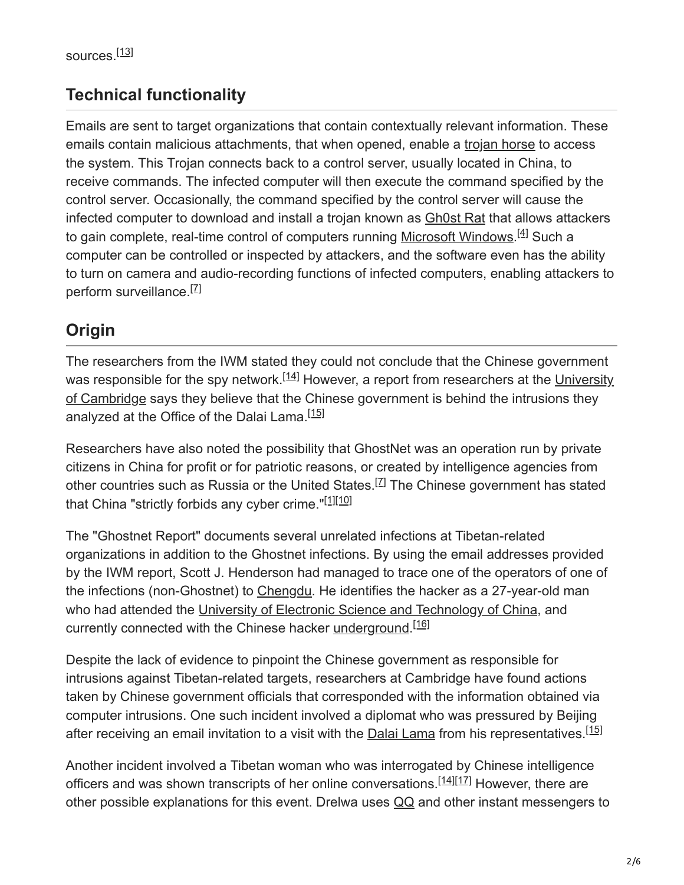## **Technical functionality**

Emails are sent to target organizations that contain contextually relevant information. These emails contain malicious attachments, that when opened, enable a [trojan horse](https://en.wikipedia.org/wiki/Trojan_horse_(computing)) to access the system. This Trojan connects back to a control server, usually located in China, to receive commands. The infected computer will then execute the command specified by the control server. Occasionally, the command specified by the control server will cause the infected computer to download and install a trojan known as [Gh0st Rat](https://en.wikipedia.org/wiki/Gh0st_Rat) that allows attackers to gain complete, real-time control of computers running [Microsoft Windows.](https://en.wikipedia.org/wiki/Microsoft_Windows)<sup>[4]</sup> Such a computer can be controlled or inspected by attackers, and the software even has the ability to turn on camera and audio-recording functions of infected computers, enabling attackers to perform surveillance.<sup>[7]</sup>

## **Origin**

The researchers from the IWM stated they could not conclude that the Chinese government was responsible for the spy network.<sup>[14]</sup> However, a report from researchers at the University of Cambridge says they believe that the Chinese government is behind the intrusions they analyzed at the Office of the Dalai Lama.<sup>[15]</sup>

Researchers have also noted the possibility that GhostNet was an operation run by private citizens in China for profit or for patriotic reasons, or created by intelligence agencies from other countries such as Russia or the United States.<sup>[7]</sup> The Chinese government has stated that China "strictly forbids any cyber crime."<sup>[1][10]</sup>

The "Ghostnet Report" documents several unrelated infections at Tibetan-related organizations in addition to the Ghostnet infections. By using the email addresses provided by the IWM report, Scott J. Henderson had managed to trace one of the operators of one of the infections (non-Ghostnet) to [Chengdu](https://en.wikipedia.org/wiki/Chengdu). He identifies the hacker as a 27-year-old man who had attended the [University of Electronic Science and Technology of China,](https://en.wikipedia.org/wiki/University_of_Electronic_Science_and_Technology_of_China) and currently connected with the Chinese hacker [underground.](https://en.wikipedia.org/wiki/Subculture)<sup>[16]</sup>

Despite the lack of evidence to pinpoint the Chinese government as responsible for intrusions against Tibetan-related targets, researchers at Cambridge have found actions taken by Chinese government officials that corresponded with the information obtained via computer intrusions. One such incident involved a diplomat who was pressured by Beijing after receiving an email invitation to a visit with the **Dalai Lama** from his representatives.<sup>[15]</sup>

Another incident involved a Tibetan woman who was interrogated by Chinese intelligence officers and was shown transcripts of her online conversations.<sup>[14][17]</sup> However, there are other possible explanations for this event. Drelwa uses [QQ](https://en.wikipedia.org/wiki/Tencent_QQ) and other instant messengers to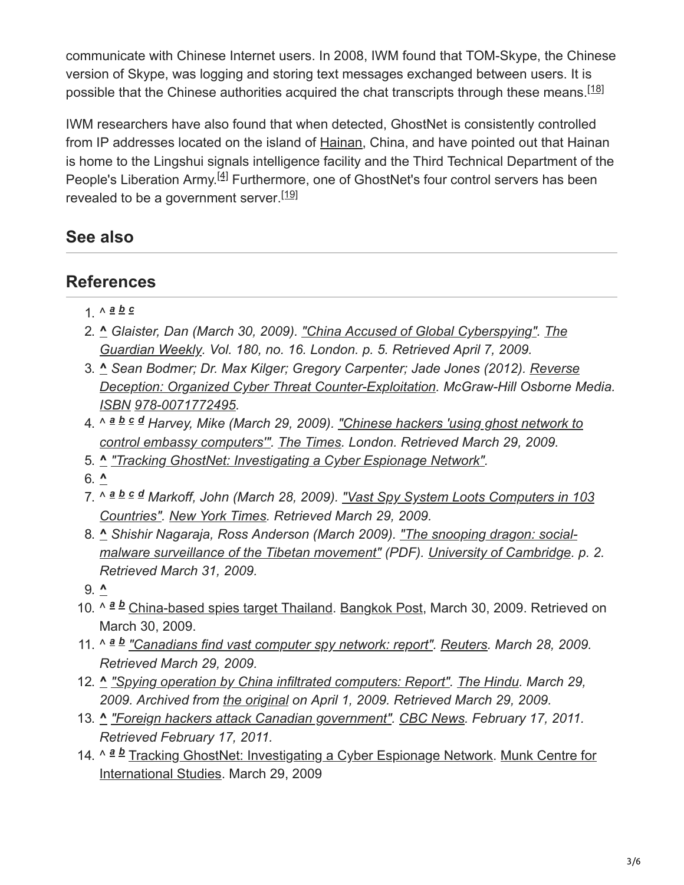communicate with Chinese Internet users. In 2008, IWM found that TOM-Skype, the Chinese version of Skype, was logging and storing text messages exchanged between users. It is possible that the Chinese authorities acquired the chat transcripts through these means.<sup>[18]</sup>

IWM researchers have also found that when detected, GhostNet is consistently controlled from IP addresses located on the island of [Hainan,](https://en.wikipedia.org/wiki/Hainan) China, and have pointed out that Hainan is home to the Lingshui signals intelligence facility and the Third Technical Department of the People's Liberation Army.<sup>[4]</sup> Furthermore, one of GhostNet's four control servers has been revealed to be a government server.<sup>[19]</sup>

### **See also**

### **References**

- 1. ^ *a b c*
- 2. **^** *[Glaister, Dan \(March 30, 2009\). "China Accused of Global Cyberspying". The](https://en.wikipedia.org/wiki/The_Guardian_Weekly) Guardian Weekly. Vol. 180, no. 16. London. p. 5. Retrieved April 7, 2009.*
- 3. **^** *[Sean Bodmer; Dr. Max Kilger; Gregory Carpenter; Jade Jones \(2012\). Reverse](https://en.wikipedia.org/wiki/Reverse_Deception:_Organized_Cyber_Threat_Counter-Exploitation) Deception: Organized Cyber Threat Counter-Exploitation. McGraw-Hill Osborne Media. [ISBN](https://en.wikipedia.org/wiki/ISBN_(identifier)) [978-0071772495](https://en.wikipedia.org/wiki/Special:BookSources/978-0071772495).*
- 4. ^ *Harvey, Mike (March 29, 2009). "Chinese hackers 'using ghost network to a b c d [control embassy computers'". The Times. London. Retrieved March 29, 2009.](http://www.timesonline.co.uk/tol/news/uk/crime/article5996253.ece)*
- 5. **^** *["Tracking GhostNet: Investigating a Cyber Espionage Network".](https://www.scribd.com/doc/13731776/Tracking-GhostNet-Investigating-a-Cyber-Espionage-Network)*
- 6. **^**
- 7. ^ *[Markoff, John \(March 28, 2009\). "Vast Spy System Loots Computers in 103](https://www.nytimes.com/2009/03/29/technology/29spy.html) a b c d Countries". [New York Times](https://en.wikipedia.org/wiki/New_York_Times). Retrieved March 29, 2009.*
- 8. **^** *[Shishir Nagaraja, Ross Anderson \(March 2009\). "The snooping dragon: social](http://www.cl.cam.ac.uk/techreports/UCAM-CL-TR-746.pdf)malware surveillance of the Tibetan movement" (PDF). [University of Cambridge.](https://en.wikipedia.org/wiki/University_of_Cambridge) p. 2. Retrieved March 31, 2009.*
- 9. **^**
- 10. ^ a b [China-based spies target Thailand.](http://www.bangkokpost.com/news/world/138995/china-based-spies-target-us) [Bangkok Post,](https://en.wikipedia.org/wiki/Bangkok_Post) March 30, 2009. Retrieved on March 30, 2009.
- 11. ^ <sup>a</sup> **b** ["Canadians find vast computer spy network: report".](https://www.reuters.com/article/newsOne/idUSTRE52R2HQ20090328) [Reuters](https://en.wikipedia.org/wiki/Reuters). March 28, 2009. *Retrieved March 29, 2009.*
- 12. **^** *["Spying operation by China infiltrated computers: Report".](https://web.archive.org/web/20090401191213/http://www.thehindubusinessline.com/blnus/10291335.htm) [The Hindu.](https://en.wikipedia.org/wiki/The_Hindu) March 29, 2009. Archived from [the original](http://www.thehindubusinessline.com/blnus/10291335.htm) on April 1, 2009. Retrieved March 29, 2009.*
- 13. **^** *["Foreign hackers attack Canadian government".](http://www.cbc.ca/politics/story/2011/02/16/pol-weston-hacking.html) [CBC News.](https://en.wikipedia.org/wiki/CBC_News) February 17, 2011. Retrieved February 17, 2011.*
- 14. ^ a b Tracking GhostNet: Investigating a Cyber Espionage Network. Munk Centre for International Studies. March 29, 2009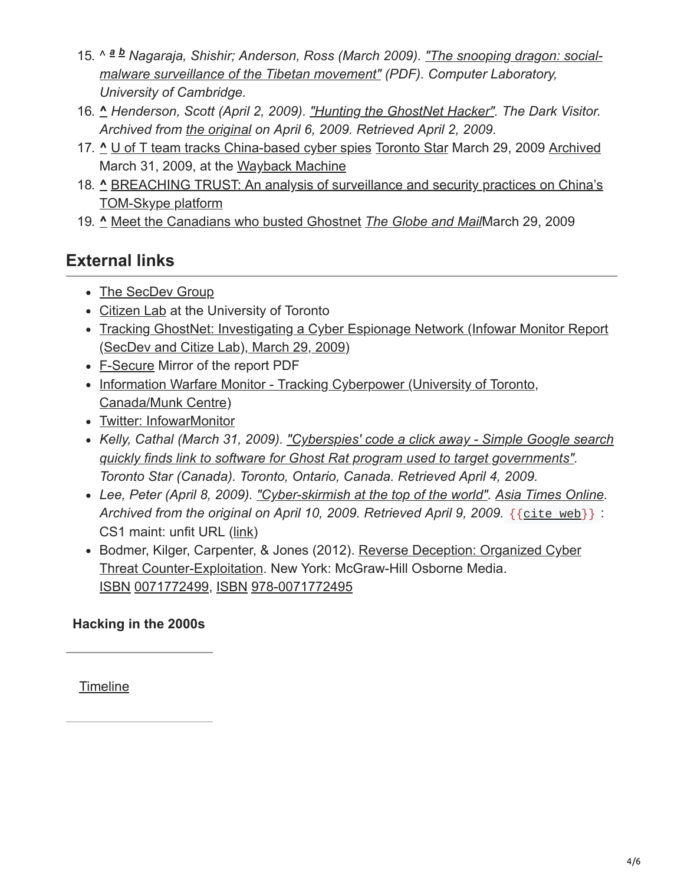- 15. ^ a b [Nagaraja, Shishir; Anderson, Ross \(March 2009\). "The snooping dragon: social](http://www.cl.cam.ac.uk/techreports/UCAM-CL-TR-746.pdf)*malware surveillance of the Tibetan movement" (PDF). Computer Laboratory, University of Cambridge.*
- 16. **^** *Henderson, Scott (April 2, 2009). ["Hunting the GhostNet Hacker"](https://web.archive.org/web/20090406034247/http://www.thedarkvisitor.com/2009/04/hunting-the-ghostnet-hacker/). The Dark Visitor. Archived from [the original](http://www.thedarkvisitor.com/2009/04/hunting-the-ghostnet-hacker/) on April 6, 2009. Retrieved April 2, 2009.*
- 17. **^** [U of T team tracks China-based cyber spies](https://www.thestar.com/article/610071) [Toronto Star](https://en.wikipedia.org/wiki/Toronto_Star) March 29, 2009 [Archived](https://web.archive.org/web/20090331165041/http://www.thestar.com/article/610071) March 31, 2009, at the [Wayback Machine](https://en.wikipedia.org/wiki/Wayback_Machine)
- 18. **^** [BREACHING TRUST: An analysis of surveillance and security practices on China's](http://www.nartv.org/mirror/breachingtrust.pdf) TOM-Skype platform
- 19. **^** [Meet the Canadians who busted Ghostnet](https://www.theglobeandmail.com/news/technology/meet-the-canadians-who-busted-ghostnet/article732409/) *[The Globe and Mail](https://en.wikipedia.org/wiki/The_Globe_and_Mail)*March 29, 2009

## **External links**

- [The SecDev Group](http://www.secdev.ca/)
- [Citizen Lab](http://www.citizenlab.org/) at the University of Toronto
- [Tracking GhostNet: Investigating a Cyber Espionage Network \(Infowar Monitor Report](https://www.scribd.com/doc/13731776/Tracking-GhostNet-Investigating-a-Cyber-Espionage-Network) (SecDev and Citize Lab), March 29, 2009)
- [F-Secure](http://www.f-secure.com/weblog/archives/00001637.html) Mirror of the report PDF
- [Information Warfare Monitor Tracking Cyberpower \(University of Toronto,](https://web.archive.org/web/20080424011010/http://infowar-monitor.net/index.php) Canada/Munk Centre)
- [Twitter: InfowarMonitor](https://twitter.com/InfowarMonitor)
- *[Kelly, Cathal \(March 31, 2009\). "Cyberspies' code a click away Simple Google search](https://www.thestar.com/News/World/Article/610860) quickly finds link to software for Ghost Rat program used to target governments". Toronto Star (Canada). Toronto, Ontario, Canada. Retrieved April 4, 2009.*
- *Lee, Peter (April 8, 2009). ["Cyber-skirmish at the top of the world"](https://web.archive.org/web/20090410070427/http://www.atimes.com/atimes/China/KD08Ad01.html). [Asia Times Online.](https://en.wikipedia.org/wiki/Asia_Times_Online)* Archived from the original on April 10, 2009. Retrieved April 9, 2009. {{[cite](https://en.wikipedia.org/wiki/Template:Cite_web) web}}: CS1 maint: unfit URL ([link](https://en.wikipedia.org/wiki/Category:CS1_maint:_unfit_URL))
- [Bodmer, Kilger, Carpenter, & Jones \(2012\). Reverse Deception: Organized Cyber](https://en.wikipedia.org/wiki/Reverse_Deception:_Organized_Cyber_Threat_Counter-Exploitation) Threat Counter-Exploitation. New York: McGraw-Hill Osborne Media. [ISBN](https://en.wikipedia.org/wiki/ISBN_(identifier)) [0071772499](https://en.wikipedia.org/wiki/Special:BookSources/0071772499), [ISBN](https://en.wikipedia.org/wiki/ISBN_(identifier)) [978-0071772495](https://en.wikipedia.org/wiki/Special:BookSources/978-0071772495)

### **Hacking in the 2000s**

**[Timeline](https://en.wikipedia.org/wiki/Timeline_of_computer_security_hacker_history#2000s)**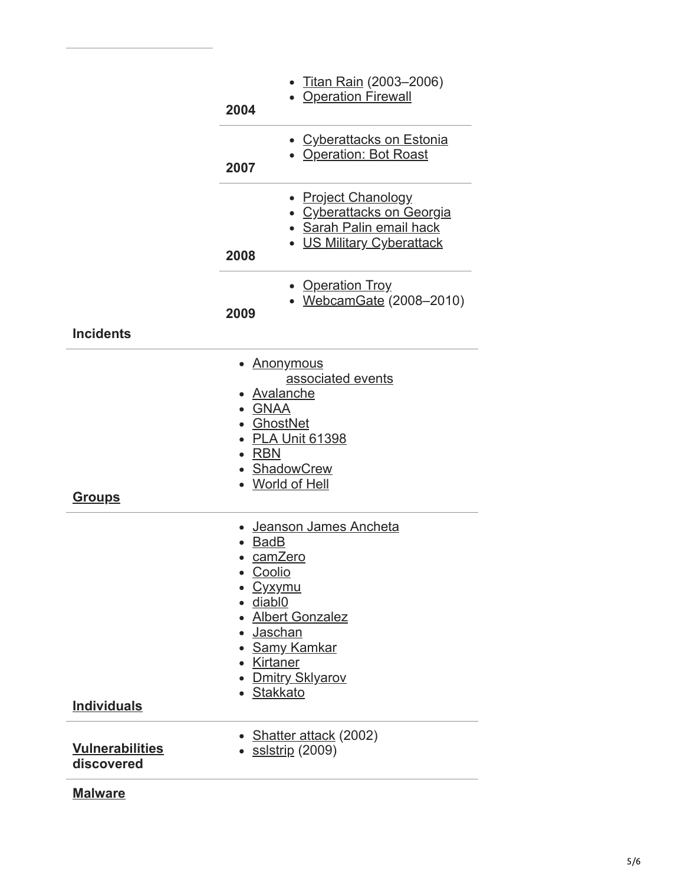|                    | 2004                                              | <u>• Titan Rain</u> (2003–2006)<br>• Operation Firewall                                                                                                               |
|--------------------|---------------------------------------------------|-----------------------------------------------------------------------------------------------------------------------------------------------------------------------|
|                    | 2007                                              | • Cyberattacks on Estonia<br>• Operation: Bot Roast                                                                                                                   |
|                    | 2008                                              | • Project Chanology<br>• Cyberattacks on Georgia<br>• Sarah Palin email hack<br>• US Military Cyberattack                                                             |
|                    | 2009                                              | • Operation Troy<br>· WebcamGate (2008-2010)                                                                                                                          |
| <b>Incidents</b>   |                                                   |                                                                                                                                                                       |
| <u>Groups</u>      | • GNAA<br><b>RBN</b>                              | <u>Anonymous</u><br>associated events<br>Avalanche<br><b>GhostNet</b><br><b>PLA Unit 61398</b><br><b>ShadowCrew</b><br><b>World of Hell</b>                           |
| <b>Individuals</b> | <b>BadB</b><br>Coolio<br>diabl0                   | Jeanson James Ancheta<br>camZero<br><u>Cyxymu</u><br><b>Albert Gonzalez</b><br><u>Jaschan</u><br><b>Samy Kamkar</b><br>Kirtaner<br><b>Dmitry Sklyarov</b><br>Stakkato |
|                    | Shatter attack (2002)<br><u>• ssistrip</u> (2009) |                                                                                                                                                                       |